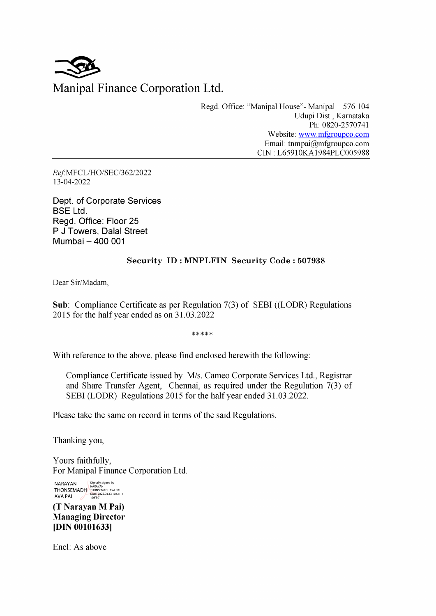

Regd. Office: "Manipal House"- Manipal — 576 104 Udupi Dist., Karnataka Ph: 0820-2570741 Website: www.mfgroupco.com Email: tnmpai@mfgroupco.com CIN : L65910KA1984PLC005988

Ref-MFCL/HO/SEC/362/2022 13-04-2022

Dept. of Corporate Services BSE Ltd. Regd. Office: Floor 25 P J Towers, Dalal Street Mumbai — 400 001

## Security ID: MNPLFIN Security Code : 507938

Dear Sir/Madam,

Sub: Compliance Certificate as per Regulation 7(3) of SEBI ((LODR) Regulations 2015 for the half year ended as on 31.03.2022

 $*****$ 

With reference to the above, please find enclosed herewith the following:

Compliance Certificate issued by M/s. Cameo Corporate Services Ltd., Registrar and Share Transfer Agent, Chennai, as required under the Regulation 7(3) of SEBI (LODR) Regulations 2015 for the half year ended 31.03.2022.

Please take the same on record in terms of the said Regulations.

Thanking you,

Yours faithfully, For Manipal Finance Corporation Ltd.

NARAYAN Digitally signed by<br>THONSEMADH THONSEMADHAVA PA  $AVA PAI$   $10:55:14$ 

(T Narayan M Pai) Managing Director [DIN 00101633]

Encl: As above